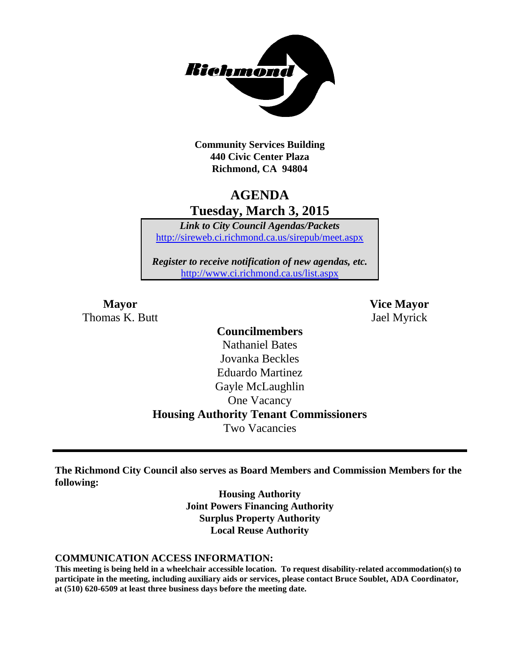

**Community Services Building 440 Civic Center Plaza Richmond, CA 94804**

# **AGENDA Tuesday, March 3, 2015**

*Link to City Council Agendas/Packets* <http://sireweb.ci.richmond.ca.us/sirepub/meet.aspx>

*Register to receive notification of new agendas, etc.* <http://www.ci.richmond.ca.us/list.aspx>

Thomas K. Butt Jael Myrick

**Mayor Vice Mayor**

# **Councilmembers**

Nathaniel Bates Jovanka Beckles Eduardo Martinez Gayle McLaughlin One Vacancy **Housing Authority Tenant Commissioners** Two Vacancies

**The Richmond City Council also serves as Board Members and Commission Members for the following:**

> **Housing Authority Joint Powers Financing Authority Surplus Property Authority Local Reuse Authority**

#### **COMMUNICATION ACCESS INFORMATION:**

**This meeting is being held in a wheelchair accessible location. To request disability-related accommodation(s) to participate in the meeting, including auxiliary aids or services, please contact Bruce Soublet, ADA Coordinator, at (510) 620-6509 at least three business days before the meeting date.**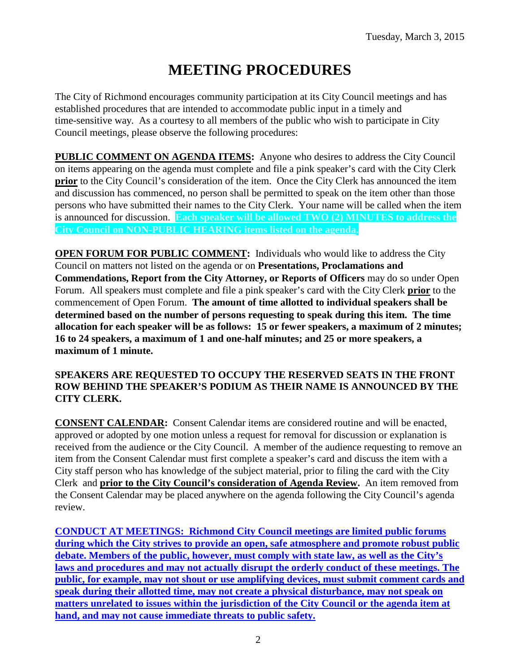# **MEETING PROCEDURES**

The City of Richmond encourages community participation at its City Council meetings and has established procedures that are intended to accommodate public input in a timely and time-sensitive way. As a courtesy to all members of the public who wish to participate in City Council meetings, please observe the following procedures:

**PUBLIC COMMENT ON AGENDA ITEMS:** Anyone who desires to address the City Council on items appearing on the agenda must complete and file a pink speaker's card with the City Clerk **prior** to the City Council's consideration of the item. Once the City Clerk has announced the item and discussion has commenced, no person shall be permitted to speak on the item other than those persons who have submitted their names to the City Clerk. Your name will be called when the item is announced for discussion. **Each speaker will be allowed TWO (2) MINUTES to address the City Council on NON-PUBLIC HEARING items listed on the agenda.**

**OPEN FORUM FOR PUBLIC COMMENT:** Individuals who would like to address the City Council on matters not listed on the agenda or on **Presentations, Proclamations and Commendations, Report from the City Attorney, or Reports of Officers** may do so under Open Forum. All speakers must complete and file a pink speaker's card with the City Clerk **prior** to the commencement of Open Forum. **The amount of time allotted to individual speakers shall be determined based on the number of persons requesting to speak during this item. The time allocation for each speaker will be as follows: 15 or fewer speakers, a maximum of 2 minutes; 16 to 24 speakers, a maximum of 1 and one-half minutes; and 25 or more speakers, a maximum of 1 minute.**

#### **SPEAKERS ARE REQUESTED TO OCCUPY THE RESERVED SEATS IN THE FRONT ROW BEHIND THE SPEAKER'S PODIUM AS THEIR NAME IS ANNOUNCED BY THE CITY CLERK.**

**CONSENT CALENDAR:** Consent Calendar items are considered routine and will be enacted, approved or adopted by one motion unless a request for removal for discussion or explanation is received from the audience or the City Council. A member of the audience requesting to remove an item from the Consent Calendar must first complete a speaker's card and discuss the item with a City staff person who has knowledge of the subject material, prior to filing the card with the City Clerk and **prior to the City Council's consideration of Agenda Review.** An item removed from the Consent Calendar may be placed anywhere on the agenda following the City Council's agenda review.

**CONDUCT AT MEETINGS: Richmond City Council meetings are limited public forums during which the City strives to provide an open, safe atmosphere and promote robust public debate. Members of the public, however, must comply with state law, as well as the City's laws and procedures and may not actually disrupt the orderly conduct of these meetings. The public, for example, may not shout or use amplifying devices, must submit comment cards and speak during their allotted time, may not create a physical disturbance, may not speak on matters unrelated to issues within the jurisdiction of the City Council or the agenda item at hand, and may not cause immediate threats to public safety.**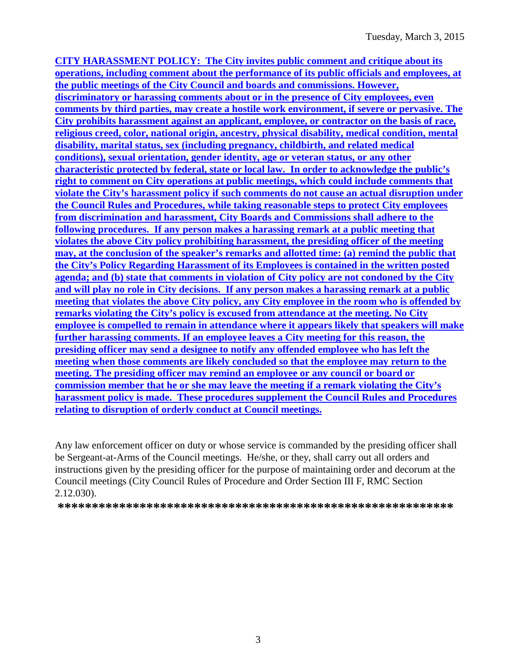**CITY HARASSMENT POLICY: The City invites public comment and critique about its operations, including comment about the performance of its public officials and employees, at the public meetings of the City Council and boards and commissions. However, discriminatory or harassing comments about or in the presence of City employees, even comments by third parties, may create a hostile work environment, if severe or pervasive. The City prohibits harassment against an applicant, employee, or contractor on the basis of race, religious creed, color, national origin, ancestry, physical disability, medical condition, mental disability, marital status, sex (including pregnancy, childbirth, and related medical conditions), sexual orientation, gender identity, age or veteran status, or any other characteristic protected by federal, state or local law. In order to acknowledge the public's right to comment on City operations at public meetings, which could include comments that violate the City's harassment policy if such comments do not cause an actual disruption under the Council Rules and Procedures, while taking reasonable steps to protect City employees from discrimination and harassment, City Boards and Commissions shall adhere to the following procedures. If any person makes a harassing remark at a public meeting that violates the above City policy prohibiting harassment, the presiding officer of the meeting may, at the conclusion of the speaker's remarks and allotted time: (a) remind the public that the City's Policy Regarding Harassment of its Employees is contained in the written posted agenda; and (b) state that comments in violation of City policy are not condoned by the City and will play no role in City decisions. If any person makes a harassing remark at a public meeting that violates the above City policy, any City employee in the room who is offended by remarks violating the City's policy is excused from attendance at the meeting. No City employee is compelled to remain in attendance where it appears likely that speakers will make further harassing comments. If an employee leaves a City meeting for this reason, the presiding officer may send a designee to notify any offended employee who has left the meeting when those comments are likely concluded so that the employee may return to the meeting. The presiding officer may remind an employee or any council or board or commission member that he or she may leave the meeting if a remark violating the City's harassment policy is made. These procedures supplement the Council Rules and Procedures relating to disruption of orderly conduct at Council meetings.**

Any law enforcement officer on duty or whose service is commanded by the presiding officer shall be Sergeant-at-Arms of the Council meetings. He/she, or they, shall carry out all orders and instructions given by the presiding officer for the purpose of maintaining order and decorum at the Council meetings (City Council Rules of Procedure and Order Section III F, RMC Section 2.12.030).

**\*\*\*\*\*\*\*\*\*\*\*\*\*\*\*\*\*\*\*\*\*\*\*\*\*\*\*\*\*\*\*\*\*\*\*\*\*\*\*\*\*\*\*\*\*\*\*\*\*\*\*\*\*\*\*\*\*\***

3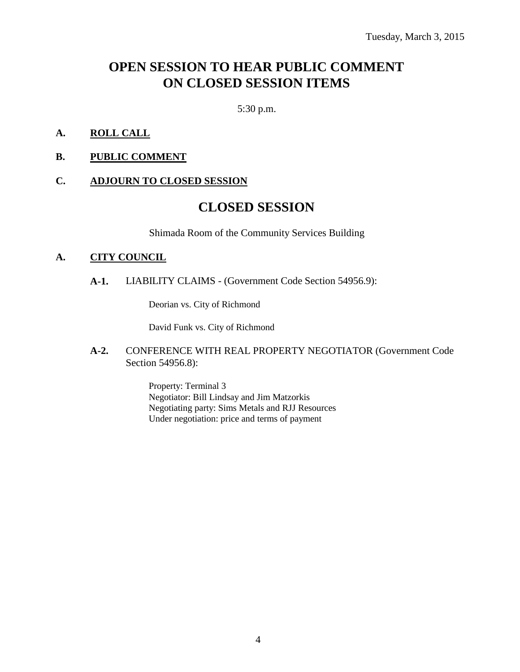# **OPEN SESSION TO HEAR PUBLIC COMMENT ON CLOSED SESSION ITEMS**

5:30 p.m.

- **A. ROLL CALL**
- **B. PUBLIC COMMENT**

#### **C. ADJOURN TO CLOSED SESSION**

# **CLOSED SESSION**

Shimada Room of the Community Services Building

#### **A. CITY COUNCIL**

**A-1.** LIABILITY CLAIMS - (Government Code Section 54956.9):

Deorian vs. City of Richmond

David Funk vs. City of Richmond

**A-2.** CONFERENCE WITH REAL PROPERTY NEGOTIATOR (Government Code Section 54956.8):

> Property: Terminal 3 Negotiator: Bill Lindsay and Jim Matzorkis Negotiating party: Sims Metals and RJJ Resources Under negotiation: price and terms of payment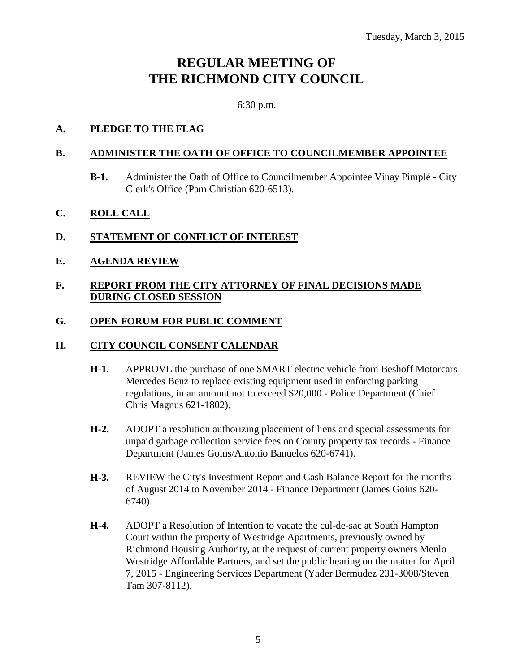# **REGULAR MEETING OF THE RICHMOND CITY COUNCIL**

6:30 p.m.

### **A. PLEDGE TO THE FLAG**

#### **B. ADMINISTER THE OATH OF OFFICE TO COUNCILMEMBER APPOINTEE**

- **B-1.** Administer the Oath of Office to Councilmember Appointee Vinay Pimplé City Clerk's Office (Pam Christian 620-6513).
- **C. ROLL CALL**

# **D. STATEMENT OF CONFLICT OF INTEREST**

**E. AGENDA REVIEW**

#### **F. REPORT FROM THE CITY ATTORNEY OF FINAL DECISIONS MADE DURING CLOSED SESSION**

### **G. OPEN FORUM FOR PUBLIC COMMENT**

### **H. CITY COUNCIL CONSENT CALENDAR**

- **H-1.** APPROVE the purchase of one SMART electric vehicle from Beshoff Motorcars Mercedes Benz to replace existing equipment used in enforcing parking regulations, in an amount not to exceed \$20,000 - Police Department (Chief Chris Magnus 621-1802).
- **H-2.** ADOPT a resolution authorizing placement of liens and special assessments for unpaid garbage collection service fees on County property tax records - Finance Department (James Goins/Antonio Banuelos 620-6741).
- **H-3.** REVIEW the City's Investment Report and Cash Balance Report for the months of August 2014 to November 2014 - Finance Department (James Goins 620- 6740).
- **H-4.** ADOPT a Resolution of Intention to vacate the cul-de-sac at South Hampton Court within the property of Westridge Apartments, previously owned by Richmond Housing Authority, at the request of current property owners Menlo Westridge Affordable Partners, and set the public hearing on the matter for April 7, 2015 - Engineering Services Department (Yader Bermudez 231-3008/Steven Tam 307-8112).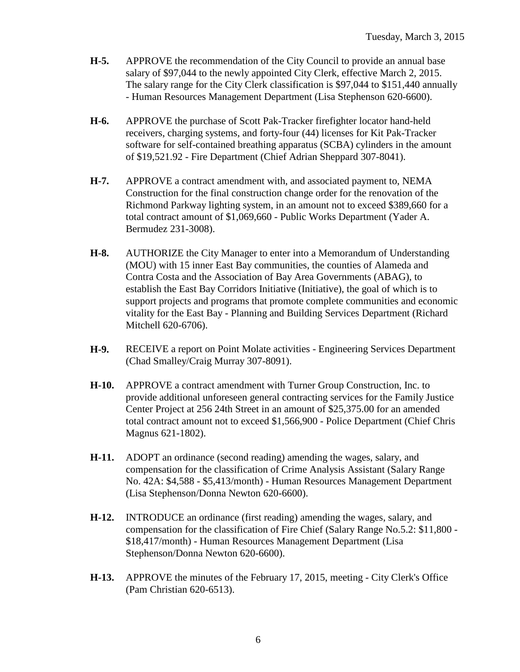- **H-5.** APPROVE the recommendation of the City Council to provide an annual base salary of \$97,044 to the newly appointed City Clerk, effective March 2, 2015. The salary range for the City Clerk classification is \$97,044 to \$151,440 annually - Human Resources Management Department (Lisa Stephenson 620-6600).
- **H-6.** APPROVE the purchase of Scott Pak-Tracker firefighter locator hand-held receivers, charging systems, and forty-four (44) licenses for Kit Pak-Tracker software for self-contained breathing apparatus (SCBA) cylinders in the amount of \$19,521.92 - Fire Department (Chief Adrian Sheppard 307-8041).
- **H-7.** APPROVE a contract amendment with, and associated payment to, NEMA Construction for the final construction change order for the renovation of the Richmond Parkway lighting system, in an amount not to exceed \$389,660 for a total contract amount of \$1,069,660 - Public Works Department (Yader A. Bermudez 231-3008).
- **H-8.** AUTHORIZE the City Manager to enter into a Memorandum of Understanding (MOU) with 15 inner East Bay communities, the counties of Alameda and Contra Costa and the Association of Bay Area Governments (ABAG), to establish the East Bay Corridors Initiative (Initiative), the goal of which is to support projects and programs that promote complete communities and economic vitality for the East Bay - Planning and Building Services Department (Richard Mitchell 620-6706).
- **H-9.** RECEIVE a report on Point Molate activities Engineering Services Department (Chad Smalley/Craig Murray 307-8091).
- **H-10.** APPROVE a contract amendment with Turner Group Construction, Inc. to provide additional unforeseen general contracting services for the Family Justice Center Project at 256 24th Street in an amount of \$25,375.00 for an amended total contract amount not to exceed \$1,566,900 - Police Department (Chief Chris Magnus 621-1802).
- **H-11.** ADOPT an ordinance (second reading) amending the wages, salary, and compensation for the classification of Crime Analysis Assistant (Salary Range No. 42A: \$4,588 - \$5,413/month) - Human Resources Management Department (Lisa Stephenson/Donna Newton 620-6600).
- **H-12.** INTRODUCE an ordinance (first reading) amending the wages, salary, and compensation for the classification of Fire Chief (Salary Range No.5.2: \$11,800 - \$18,417/month) - Human Resources Management Department (Lisa Stephenson/Donna Newton 620-6600).
- **H-13.** APPROVE the minutes of the February 17, 2015, meeting City Clerk's Office (Pam Christian 620-6513).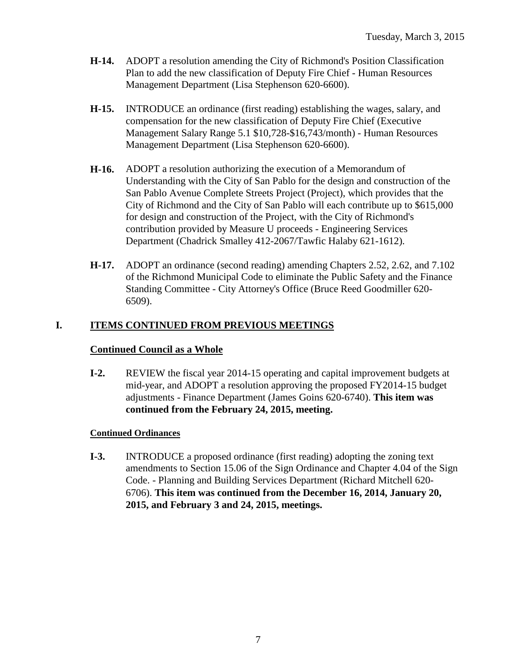- **H-14.** ADOPT a resolution amending the City of Richmond's Position Classification Plan to add the new classification of Deputy Fire Chief - Human Resources Management Department (Lisa Stephenson 620-6600).
- **H-15.** INTRODUCE an ordinance (first reading) establishing the wages, salary, and compensation for the new classification of Deputy Fire Chief (Executive Management Salary Range 5.1 \$10,728-\$16,743/month) - Human Resources Management Department (Lisa Stephenson 620-6600).
- **H-16.** ADOPT a resolution authorizing the execution of a Memorandum of Understanding with the City of San Pablo for the design and construction of the San Pablo Avenue Complete Streets Project (Project), which provides that the City of Richmond and the City of San Pablo will each contribute up to \$615,000 for design and construction of the Project, with the City of Richmond's contribution provided by Measure U proceeds - Engineering Services Department (Chadrick Smalley 412-2067/Tawfic Halaby 621-1612).
- **H-17.** ADOPT an ordinance (second reading) amending Chapters 2.52, 2.62, and 7.102 of the Richmond Municipal Code to eliminate the Public Safety and the Finance Standing Committee - City Attorney's Office (Bruce Reed Goodmiller 620- 6509).

### **I. ITEMS CONTINUED FROM PREVIOUS MEETINGS**

#### **Continued Council as a Whole**

**I-2.** REVIEW the fiscal year 2014-15 operating and capital improvement budgets at mid-year, and ADOPT a resolution approving the proposed FY2014-15 budget adjustments - Finance Department (James Goins 620-6740). **This item was continued from the February 24, 2015, meeting.**

#### **Continued Ordinances**

**I-3.** INTRODUCE a proposed ordinance (first reading) adopting the zoning text amendments to Section 15.06 of the Sign Ordinance and Chapter 4.04 of the Sign Code. - Planning and Building Services Department (Richard Mitchell 620- 6706). **This item was continued from the December 16, 2014, January 20, 2015, and February 3 and 24, 2015, meetings.**